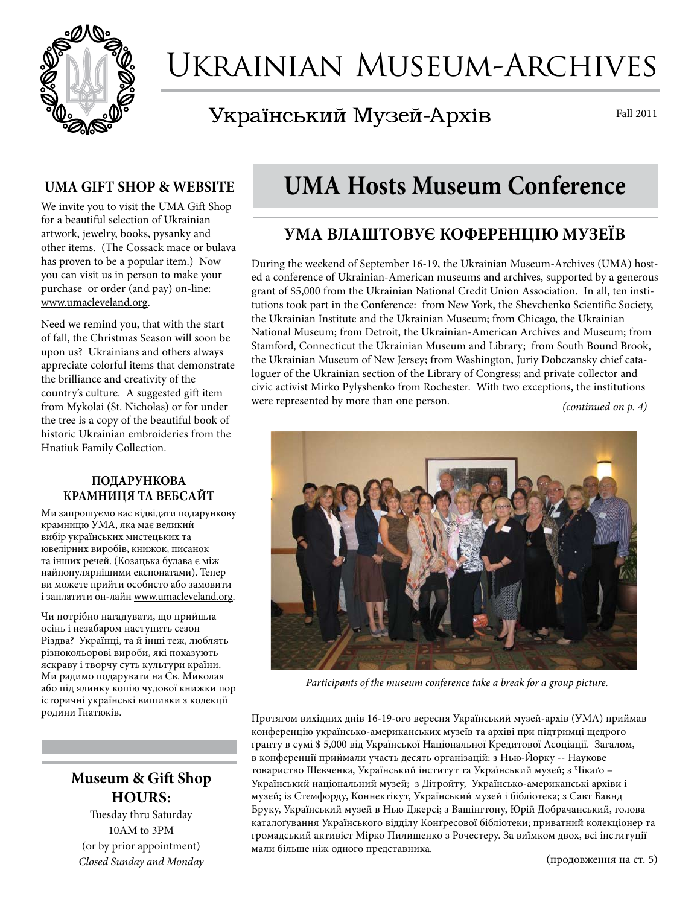

# Ukrainian Museum-Archives

### Український Музей-Архів

Fall 2011

#### **UMA GIFT SHOP & WEBSITE**

We invite you to visit the UMA Gift Shop for a beautiful selection of Ukrainian artwork, jewelry, books, pysanky and other items. (The Cossack mace or bulava has proven to be a popular item.) Now you can visit us in person to make your purchase or order (and pay) on-line: www.umacleveland.org.

Need we remind you, that with the start of fall, the Christmas Season will soon be upon us? Ukrainians and others always appreciate colorful items that demonstrate the brilliance and creativity of the country's culture. A suggested gift item from Mykolai (St. Nicholas) or for under the tree is a copy of the beautiful book of historic Ukrainian embroideries from the Hnatiuk Family Collection.

#### **ПОДАРУНКОВА КРАМНИЦЯ ТА ВЕБСАЙТ**

Ми запрошуємо вас відвідати подарункову крамницю УМА, яка має великий вибір українських мистецьких та ювелірних виробів, книжок, писанок та інших речей. (Козацька булава є між найпопулярнішими експонатами). Тепер ви можете прийти особисто або замовити і заплатити он-лайн www.umacleveland.org.

Чи потрібно нагадувати, що прийшла осінь і незабаром наступить сезон Різдва? Українці, та й інші теж, люблять різнокольорові вироби, які показують яскраву і творчу суть культури країни. Ми радимо подарувати на Св. Миколая або під ялинку копію чудової книжки пор історичні українські вишивки з колекції родини Гнатюків.

#### **Museum & Gift Shop Hours:**

Tuesday thru Saturday 10AM to 3PM (or by prior appointment) *Closed Sunday and Monday*

## **UMA Hosts Museum Conference**

### **УМА ВЛАШТОВУЄ КОФЕРЕНЦІЮ МУЗЕЇВ**

During the weekend of September 16-19, the Ukrainian Museum-Archives (UMA) hosted a conference of Ukrainian-American museums and archives, supported by a generous grant of \$5,000 from the Ukrainian National Credit Union Association. In all, ten institutions took part in the Conference: from New York, the Shevchenko Scientific Society, the Ukrainian Institute and the Ukrainian Museum; from Chicago, the Ukrainian National Museum; from Detroit, the Ukrainian-American Archives and Museum; from Stamford, Connecticut the Ukrainian Museum and Library; from South Bound Brook, the Ukrainian Museum of New Jersey; from Washington, Juriy Dobczansky chief cataloguer of the Ukrainian section of the Library of Congress; and private collector and civic activist Mirko Pylyshenko from Rochester. With two exceptions, the institutions were represented by more than one person.

*(continued on p. 4)*



*Participants of the museum conference take a break for a group picture.*

Протягом вихідних днів 16-19-ого вересня Український музей-архів (УМА) приймав конференцію українсько-американських музеїв та архіві при підтримці щедрого ґранту в сумі \$ 5,000 від Української Національної Кредитової Асоціації. Загалом, в конференції приймали участь десять організацій: з Нью-Йорку -- Наукове товариство Шевченка, Український інститут та Український музей; з Чікаґо – Український національний музей; з Дітройту, Українсько-американські архіви і музей; із Стемфорду, Коннектікут, Український музей і бібліотека; з Савт Бавнд Бруку, Український музей в Нью Джерсі; з Вашінгтону, Юрій Добрачанський, голова каталоґування Українського відділу Конґресової бібліотеки; приватний колекціонер та громадський активіст Мірко Пилишенко з Рочестеру. За виїмком двох, всі інституції мали більше ніж одного представника.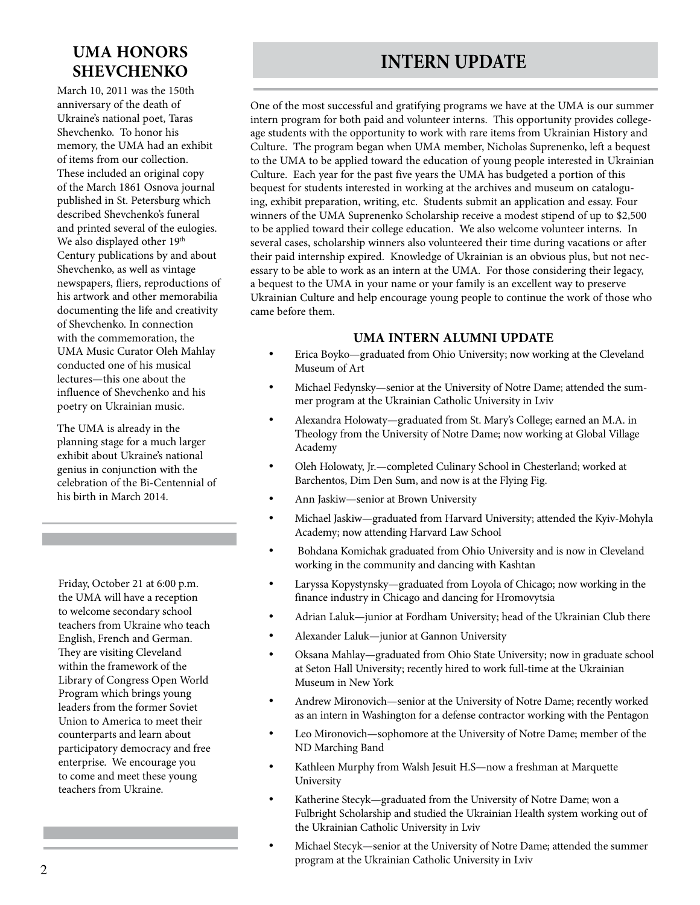### **UMA HONORS SHEVCHENKO**

March 10, 2011 was the 150th anniversary of the death of Ukraine's national poet, Taras Shevchenko. To honor his memory, the UMA had an exhibit of items from our collection. These included an original copy of the March 1861 Osnova journal published in St. Petersburg which described Shevchenko's funeral and printed several of the eulogies. We also displayed other 19<sup>th</sup> Century publications by and about Shevchenko, as well as vintage newspapers, fliers, reproductions of his artwork and other memorabilia documenting the life and creativity of Shevchenko. In connection with the commemoration, the UMA Music Curator Oleh Mahlay conducted one of his musical lectures—this one about the influence of Shevchenko and his poetry on Ukrainian music.

The UMA is already in the planning stage for a much larger exhibit about Ukraine's national genius in conjunction with the celebration of the Bi-Centennial of his birth in March 2014.

Friday, October 21 at 6:00 p.m. the UMA will have a reception to welcome secondary school teachers from Ukraine who teach English, French and German. They are visiting Cleveland within the framework of the Library of Congress Open World Program which brings young leaders from the former Soviet Union to America to meet their counterparts and learn about participatory democracy and free enterprise. We encourage you to come and meet these young teachers from Ukraine.

### **INTERN UPDATE**

One of the most successful and gratifying programs we have at the UMA is our summer intern program for both paid and volunteer interns. This opportunity provides collegeage students with the opportunity to work with rare items from Ukrainian History and Culture. The program began when UMA member, Nicholas Suprenenko, left a bequest to the UMA to be applied toward the education of young people interested in Ukrainian Culture. Each year for the past five years the UMA has budgeted a portion of this bequest for students interested in working at the archives and museum on cataloguing, exhibit preparation, writing, etc. Students submit an application and essay. Four winners of the UMA Suprenenko Scholarship receive a modest stipend of up to \$2,500 to be applied toward their college education. We also welcome volunteer interns. In several cases, scholarship winners also volunteered their time during vacations or after their paid internship expired. Knowledge of Ukrainian is an obvious plus, but not necessary to be able to work as an intern at the UMA. For those considering their legacy, a bequest to the UMA in your name or your family is an excellent way to preserve Ukrainian Culture and help encourage young people to continue the work of those who came before them.

#### **UMA INTERN ALUMNI UPDATE**

- Erica Boyko—graduated from Ohio University; now working at the Cleveland Museum of Art
- Michael Fedynsky—senior at the University of Notre Dame; attended the summer program at the Ukrainian Catholic University in Lviv
- Alexandra Holowaty-graduated from St. Mary's College; earned an M.A. in Theology from the University of Notre Dame; now working at Global Village Academy
- Oleh Holowaty, Jr.-completed Culinary School in Chesterland; worked at Barchentos, Dim Den Sum, and now is at the Flying Fig.
- Ann Jaskiw-senior at Brown University
- Michael Jaskiw—graduated from Harvard University; attended the Kyiv-Mohyla Academy; now attending Harvard Law School
- Bohdana Komichak graduated from Ohio University and is now in Cleveland working in the community and dancing with Kashtan
- Laryssa Kopystynsky—graduated from Loyola of Chicago; now working in the finance industry in Chicago and dancing for Hromovytsia
- Adrian Laluk—junior at Fordham University; head of the Ukrainian Club there
- Alexander Laluk—junior at Gannon University
- Oksana Mahlay—graduated from Ohio State University; now in graduate school at Seton Hall University; recently hired to work full-time at the Ukrainian Museum in New York
- Andrew Mironovich—senior at the University of Notre Dame; recently worked as an intern in Washington for a defense contractor working with the Pentagon
- Leo Mironovich—sophomore at the University of Notre Dame; member of the ND Marching Band
- Kathleen Murphy from Walsh Jesuit H.S-now a freshman at Marquette University
- Katherine Stecyk—graduated from the University of Notre Dame; won a Fulbright Scholarship and studied the Ukrainian Health system working out of the Ukrainian Catholic University in Lviv
- Michael Stecyk—senior at the University of Notre Dame; attended the summer program at the Ukrainian Catholic University in Lviv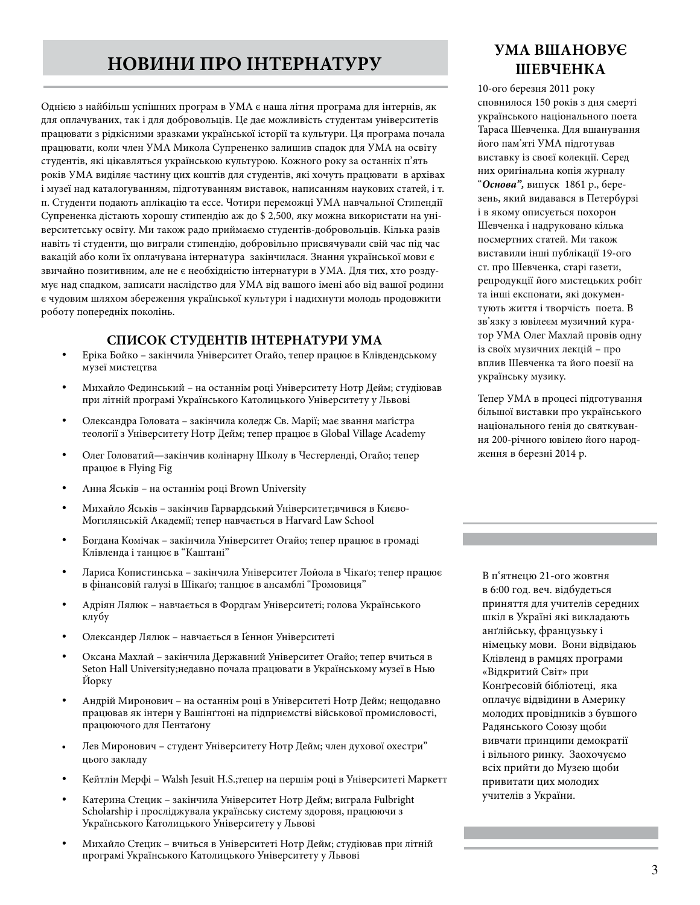### **НОВИНИ ПРО ІНТЕРНАТУРУ**

Однією з найбільш успішних програм в УМА є наша літня програма для інтернів, як для оплачуваних, так і для добровольців. Це дає можливість студентам університетів працювати з рідкісними зразками української історії та культури. Ця програма почала працювати, коли член УМА Микола Супрененко залишив спадок для УМА на освіту студентів, які цікавляться українською культурою. Кожного року за останніх п'ять років УМА виділяє частину цих коштів для студентів, які хочуть працювати в архівах і музеї над каталогуванням, підготуванням виставок, написанням наукових статей, і т. п. Студенти подають аплікацію та ессе. Чотири переможці УМА навчальної Стипендії Супрененка дістають хорошу стипендію аж до \$ 2,500, яку можна використати на університетську освіту. Ми також радо приймаємо студентів-добровольців. Кілька разів навіть ті студенти, що виграли стипендію, добровільно присвячували свій час під час вакацій або коли їх оплачувана інтернатура закінчилася. Знання української мови є звичайно позитивним, але не є необхідністю інтернатури в УМА. Для тих, хто роздумує над спадком, записати наслідство для УМА від вашого імені або від вашої родини є чудовим шляхом збереження української культури і надихнути молодь продовжити роботу попередніх поколінь.

#### **СПИСОК СТУДЕНТІВ ІНТЕРНАТУРИ УМА**

- Еріка Бойко закінчила Університет Огайо, тепер працює в Клівдендському музеї мистецтва
- Михайло Фединський на останнім році Університету Нотр Дейм; студіював при літній програмі Українського Католицького Університету у Львові
- Олександра Головата закінчила коледж Св. Марії; має звання маґістра теології з Університету Нотр Дейм; тепер працює в Global Village Academy
- Олег Головатий—закінчив колінарну Школу в Честерленді, Огайо; тепер працює в Flying Fig
- Анна Яськів на останнім році Brown University
- Михайло Яськів закінчив Гарвардський Університет;вчився в Києво-Могилянській Академії; тепер навчається в Harvard Law School
- Богдана Комічак закінчила Університет Огайо; тепер працює в громаді Клівленда і танцює в "Каштані"
- Лариса Копистинська закінчила Університет Лойола в Чікаґо; тепер працює в фінансовій галузі в Шікаґо; танцює в ансамблі "Громовиця"
- Адріян Лялюк навчається в Фордгам Університеті; голова Українського клубу
- • Олександер Лялюк навчається в Ґеннон Університеті
- Оксана Махлай закінчила Державний Університет Огайо; тепер вчиться в Seton Hall University;недавно почала працювати в Українському музеї в Нью Йорку
- Андрій Миронович на останнім році в Університеті Нотр Дейм; нещодавно працював як інтерн у Вашінґтоні на підприємстві військової промисловості, працюючого для Пентаґону
- Лев Миронович студент Університету Нотр Дейм; член духової охестри" цього закладу
- Кейтлін Мерфі Walsh Jesuit H.S.;тепер на першім році в Університеті Маркетт
- Катерина Стецик закінчила Університет Нотр Дейм; виграла Fulbright Scholarship і просліджувала українську систему здоровя, працюючи з Українського Католицького Університету у Львові
- Михайло Стецик вчиться в Університеті Нотр Дейм; студіював при літній програмі Українського Католицького Університету у Львові

#### **УМА ВШАНОВУЄ ШЕВЧЕНКА**

10-ого березня 2011 року сповнилося 150 років з дня смерті українського національного поета Тараса Шевченка. Для вшанування його пам'яті УМА підготував виставку із своєї колекції. Серед них оригінальна копія журналу "*Основа",* випуск 1861 р., березень, який видавався в Петербурзі і в якому описується похорон Шевченка і надруковано кілька посмертних статей. Ми також виставили інші публікації 19-ого ст. про Шевченка, старі газети, репродукції його мистецьких робіт та інші експонати, які документують життя і творчість поета. В зв'язку з ювілеєм музичний куратор УМА Олег Махлай провів одну із своїх музичних лекцій – про вплив Шевченка та його поезії на українську музику.

Тепер УМА в процесі підготування більшої виставки про українського національного ґенія до святкування 200-річного ювілею його народження в березні 2014 р.

В п'ятнецю 21-ого жовтня в 6:00 год. веч. відбудеться приняття для учителів середних шкіл в Україні які викладають анґлійську, французьку і німецьку мови. Вони відвідаюь Клівленд в рамцях програми «Відкритий Світ» при Конґресовій бібліотеці, яка оплачує відвідини в Америку молодих провідників з бувшого Радянського Союзу щоби вивчати принципи демократії і вільного ринку. Заохочуємо всіх прийти до Музею щоби привитати цих молодих учителів з України.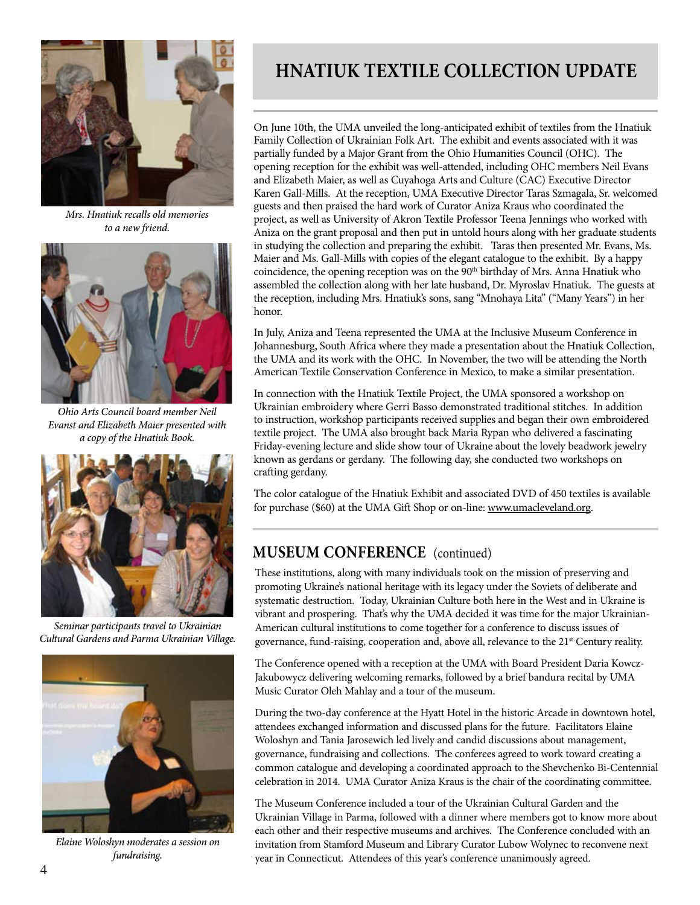

*Mrs. Hnatiuk recalls old memories to a new friend.*



*Ohio Arts Council board member Neil Evanst and Elizabeth Maier presented with a copy of the Hnatiuk Book.*



*Seminar participants travel to Ukrainian Cultural Gardens and Parma Ukrainian Village.*



*Elaine Woloshyn moderates a session on fundraising.*

### **HNATIUK TEXTILE COLLECTION UPDATE**

On June 10th, the UMA unveiled the long-anticipated exhibit of textiles from the Hnatiuk Family Collection of Ukrainian Folk Art. The exhibit and events associated with it was partially funded by a Major Grant from the Ohio Humanities Council (OHC). The opening reception for the exhibit was well-attended, including OHC members Neil Evans and Elizabeth Maier, as well as Cuyahoga Arts and Culture (CAC) Executive Director Karen Gall-Mills. At the reception, UMA Executive Director Taras Szmagala, Sr. welcomed guests and then praised the hard work of Curator Aniza Kraus who coordinated the project, as well as University of Akron Textile Professor Teena Jennings who worked with Aniza on the grant proposal and then put in untold hours along with her graduate students in studying the collection and preparing the exhibit. Taras then presented Mr. Evans, Ms. Maier and Ms. Gall-Mills with copies of the elegant catalogue to the exhibit. By a happy coincidence, the opening reception was on the 90<sup>th</sup> birthday of Mrs. Anna Hnatiuk who assembled the collection along with her late husband, Dr. Myroslav Hnatiuk. The guests at the reception, including Mrs. Hnatiuk's sons, sang "Mnohaya Lita" ("Many Years") in her honor.

In July, Aniza and Teena represented the UMA at the Inclusive Museum Conference in Johannesburg, South Africa where they made a presentation about the Hnatiuk Collection, the UMA and its work with the OHC. In November, the two will be attending the North American Textile Conservation Conference in Mexico, to make a similar presentation.

In connection with the Hnatiuk Textile Project, the UMA sponsored a workshop on Ukrainian embroidery where Gerri Basso demonstrated traditional stitches. In addition to instruction, workshop participants received supplies and began their own embroidered textile project. The UMA also brought back Maria Rypan who delivered a fascinating Friday-evening lecture and slide show tour of Ukraine about the lovely beadwork jewelry known as gerdans or gerdany. The following day, she conducted two workshops on crafting gerdany.

The color catalogue of the Hnatiuk Exhibit and associated DVD of 450 textiles is available for purchase (\$60) at the UMA Gift Shop or on-line: www.umacleveland.org.

#### **MUSEUM CONFERENCE** (continued)

These institutions, along with many individuals took on the mission of preserving and promoting Ukraine's national heritage with its legacy under the Soviets of deliberate and systematic destruction. Today, Ukrainian Culture both here in the West and in Ukraine is vibrant and prospering. That's why the UMA decided it was time for the major Ukrainian-American cultural institutions to come together for a conference to discuss issues of governance, fund-raising, cooperation and, above all, relevance to the 21st Century reality.

The Conference opened with a reception at the UMA with Board President Daria Kowcz-Jakubowycz delivering welcoming remarks, followed by a brief bandura recital by UMA Music Curator Oleh Mahlay and a tour of the museum.

During the two-day conference at the Hyatt Hotel in the historic Arcade in downtown hotel, attendees exchanged information and discussed plans for the future. Facilitators Elaine Woloshyn and Tania Jarosewich led lively and candid discussions about management, governance, fundraising and collections. The conferees agreed to work toward creating a common catalogue and developing a coordinated approach to the Shevchenko Bi-Centennial celebration in 2014. UMA Curator Aniza Kraus is the chair of the coordinating committee.

The Museum Conference included a tour of the Ukrainian Cultural Garden and the Ukrainian Village in Parma, followed with a dinner where members got to know more about each other and their respective museums and archives. The Conference concluded with an invitation from Stamford Museum and Library Curator Lubow Wolynec to reconvene next year in Connecticut. Attendees of this year's conference unanimously agreed.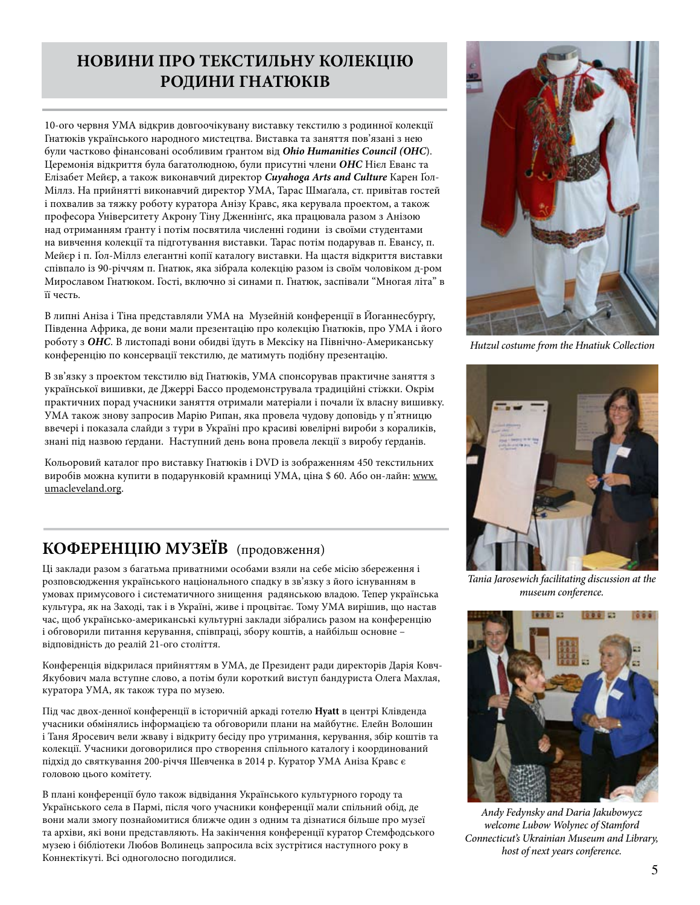### **НОВИНИ ПРО ТЕКСТИЛЬНУ КОЛЕКЦІЮ РОДИНИ ГНАТЮКІВ**

10-ого червня УМА відкрив довгоочікувану виставку текстилю з родинної колекції Гнатюків українського народного мистецтва. Виставка та заняття пов'язані з нею були частково фінансовані особливим ґрантом від *Ohio Humanities Council (OHC*). Церемонія відкриття була багатолюдною, були присутні члени *ОНС* Нієл Еванс та Елізабет Мейєр, а також виконавчий директор *Cuyahoga Arts and Culture* Карен Ґол-Міллз. На прийнятті виконавчий директор УМА, Тарас Шмаґала, ст. привітав гостей і похвалив за тяжку роботу куратора Анізу Кравс, яка керувала проектом, а також професора Університету Акрону Тіну Дженнінґс, яка працювала разом з Анізою над отриманням ґранту і потім посвятила численні години із своїми студентами на вивчення колекції та підготування виставки. Тарас потім подарував п. Евансу, п. Мейєр і п. Ґол-Міллз елегантні копії каталогу виставки. На щастя відкриття виставки співпало із 90-річчям п. Гнатюк, яка зібрала колекцію разом із своїм чоловіком д-ром Мирославом Гнатюком. Гості, включно зі синами п. Гнатюк, заспівали "Многая літа" в її честь.

В липні Аніза і Тіна представляли УМА на Музейній конференції в Йоганнесбурґу, Південна Африка, де вони мали презентацію про колекцію Гнатюків, про УМА і його роботу з *ОНС*. В листопаді вони обидві їдуть в Мексіку на Північно-Американську конференцію по консервації текстилю, де матимуть подібну презентацію.

В зв'язку з проектом текстилю від Гнатюків, УМА спонсорував практичне заняття з української вишивки, де Джеррі Бассо продемонструвала традиційні стіжки. Окрім практичних порад учасники заняття отримали матеріали і почали їх власну вишивку. УМА також знову запросив Марію Рипан, яка провела чудову доповідь у п'ятницю ввечері і показала слайди з тури в Україні про красиві ювелірні вироби з кораликів, знані під назвою ґердани. Наступний день вона провела лекції з виробу ґерданів.

Кольоровий каталог про виставку Гнатюків і DVD із зображенням 450 текстильних виробів можна купити в подарунковій крамниці УМА, ціна \$ 60. Або он-лайн: www. umacleveland.org.

### **КОФЕРЕНЦІЮ МУЗЕЇВ** (продовження)

Ці заклади разом з багатьма приватними особами взяли на себе місію збереження і розповсюдження українського національного спадку в зв'язку з його існуванням в умовах примусового і систематичного знищення радянською владою. Тепер українська культура, як на Заході, так і в Україні, живе і процвітає. Тому УМА вирішив, що настав час, щоб українсько-американські культурні заклади зібрались разом на конференцію і обговорили питання керування, співпраці, збору коштів, а найбільш основне – відповідність до реалій 21-ого століття.

Конференція відкрилася прийняттям в УМА, де Президент ради директорів Дарія Ковч-Якубович мала вступне слово, а потім були короткий виступ бандуриста Олега Махлая, куратора УМА, як також тура по музею.

Під час двох-денної конференції в історичній аркаді готелю **Hyatt** в центрі Клівденда учасники обмінялись інформацією та обговорили плани на майбутнє. Елейн Волошин і Таня Яросевич вели жваву і відкриту бесіду про утримання, керування, збір коштів та колекції. Учасники договорилися про створення спільного каталогу і координований підхід до святкування 200-річчя Шевченка в 2014 р. Куратор УМА Аніза Кравс є головою цього комітету.

В плані конференції було також відвідання Українського культурного городу та Українського села в Пармі, після чого учасники конференції мали спільний обід, де вони мали змогу познайомитися ближче один з одним та дізнатися більше про музеї та архіви, які вони представляють. На закінчення конференції куратор Стемфодського музею і бібліотеки Любов Волинець запросила всіх зустрітися наступного року в Коннектікуті. Всі одноголосно погодилися.



*Hutzul costume from the Hnatiuk Collection*



*Tania Jarosewich facilitating discussion at the museum conference.*



*Andy Fedynsky and Daria Jakubowycz welcome Lubow Wolynec of Stamford Connecticut's Ukrainian Museum and Library, host of next years conference.*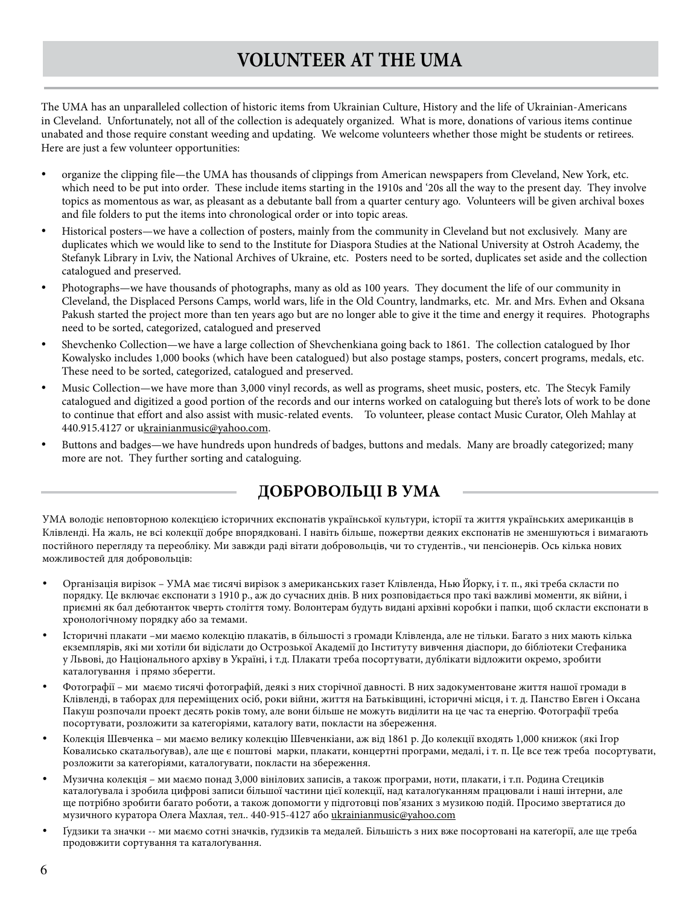### **VOLUNTEER AT THE UMA**

The UMA has an unparalleled collection of historic items from Ukrainian Culture, History and the life of Ukrainian-Americans in Cleveland. Unfortunately, not all of the collection is adequately organized. What is more, donations of various items continue unabated and those require constant weeding and updating. We welcome volunteers whether those might be students or retirees. Here are just a few volunteer opportunities:

- organize the clipping file—the UMA has thousands of clippings from American newspapers from Cleveland, New York, etc. which need to be put into order. These include items starting in the 1910s and '20s all the way to the present day. They involve topics as momentous as war, as pleasant as a debutante ball from a quarter century ago. Volunteers will be given archival boxes and file folders to put the items into chronological order or into topic areas.
- Historical posters—we have a collection of posters, mainly from the community in Cleveland but not exclusively. Many are duplicates which we would like to send to the Institute for Diaspora Studies at the National University at Ostroh Academy, the Stefanyk Library in Lviv, the National Archives of Ukraine, etc. Posters need to be sorted, duplicates set aside and the collection catalogued and preserved.
- Photographs—we have thousands of photographs, many as old as 100 years. They document the life of our community in Cleveland, the Displaced Persons Camps, world wars, life in the Old Country, landmarks, etc. Mr. and Mrs. Evhen and Oksana Pakush started the project more than ten years ago but are no longer able to give it the time and energy it requires. Photographs need to be sorted, categorized, catalogued and preserved
- Shevchenko Collection—we have a large collection of Shevchenkiana going back to 1861. The collection catalogued by Ihor Kowalysko includes 1,000 books (which have been catalogued) but also postage stamps, posters, concert programs, medals, etc. These need to be sorted, categorized, catalogued and preserved.
- Music Collection—we have more than 3,000 vinyl records, as well as programs, sheet music, posters, etc. The Stecyk Family catalogued and digitized a good portion of the records and our interns worked on cataloguing but there's lots of work to be done to continue that effort and also assist with music-related events. To volunteer, please contact Music Curator, Oleh Mahlay at 440.915.4127 or ukrainianmusic@yahoo.com.
- Buttons and badges—we have hundreds upon hundreds of badges, buttons and medals. Many are broadly categorized; many more are not. They further sorting and cataloguing.

#### **ДОБРОВОЛЬЦІ В УМА**

УМА володіє неповторною колекцією історичних експонатів української культури, історії та життя українських американців в Клівленді. На жаль, не всі колекції добре впорядковані. І навіть більше, пожертви деяких експонатів не зменшуються і вимагають постійного перегляду та переобліку. Ми завжди раді вітати добровольців, чи то студентів., чи пенсіонерів. Ось кілька нових можливостей для добровольців:

- Організація вирізок УМА має тисячі вирізок з американських газет Клівленда, Нью Йорку, і т. п., які треба скласти по порядку. Це включає експонати з 1910 р., аж до сучасних днів. В них розповідається про такі важливі моменти, як війни, і приємні як бал дебютанток чверть століття тому. Волонтерам будуть видані архівні коробки і папки, щоб скласти експонати в хронологічному порядку або за темами.
- Історичні плакати –ми маємо колекцію плакатів, в більшості з громади Клівленда, але не тільки. Багато з них мають кілька екземплярів, які ми хотіли би відіслати до Острозької Академії до Інституту вивчення діаспори, до бібліотеки Стефаника у Львові, до Національного архіву в Україні, і т.д. Плакати треба посортувати, дублікати відложити окремо, зробити каталогування і прямо зберегти.
- Фотографії ми маємо тисячі фотографій, деякі з них сторічної давності. В них задокументоване життя нашої громади в Клівленді, в таборах для переміщених осіб, роки війни, життя на Батьківщині, історичні місця, і т. д. Панство Евген і Оксана Пакуш розпочали проект десять років тому, але вони більше не можуть виділити на це час та енергію. Фотографії треба посортувати, розложити за категоріями, каталогу вати, покласти на збереження.
- Колекція Шевченка ми маємо велику колекцію Шевченкіани, аж від 1861 р. До колекції входять 1,000 книжок (які Ігор Ковалисько скатальоґував), але ще є поштові марки, плакати, концертні програми, медалі, і т. п. Це все теж треба посортувати, розложити за катеґоріями, каталогувати, покласти на збереження.
- Музична колекція ми маємо понад 3,000 вінілових записів, а також програми, ноти, плакати, і т.п. Родина Стециків каталоґувала і зробила цифрові записи більшої частини цієї колекції, над каталоґуканням працювали і наші інтерни, але ще потрібно зробити багато роботи, а також допомогти у підготовці пов'язаних з музикою подій. Просимо звертатися до музичного куратора Олега Махлая, тел.. 440-915-4127 або ukrainianmusic@yahoo.com
- Гудзики та значки -- ми маємо сотні значків, ґудзиків та медалей. Більшість з них вже посортовані на катеґорії, але ще треба продовжити сортування та каталоґування.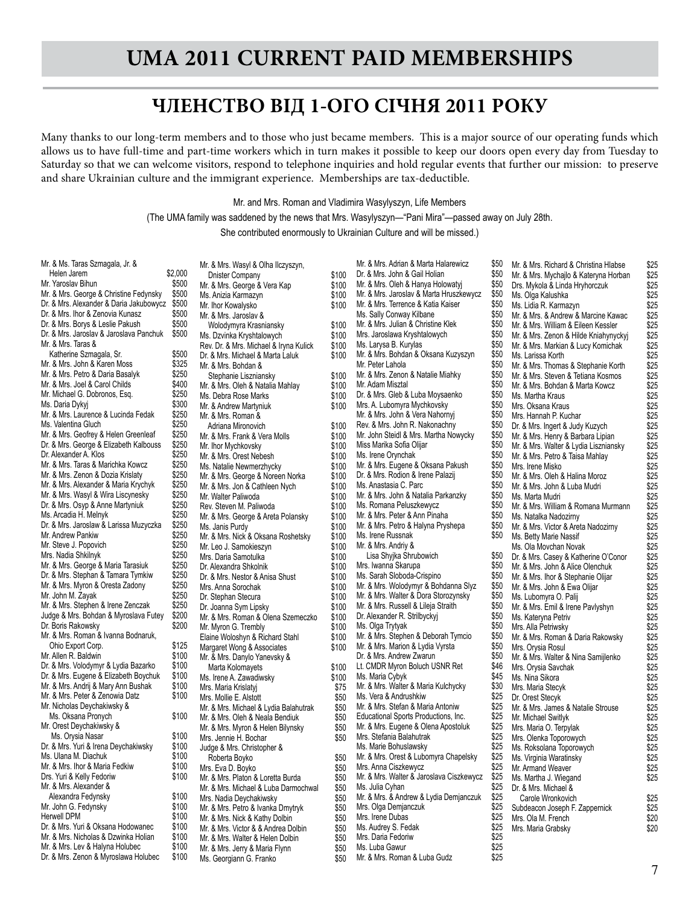#### **ЧЛЕНСТВО ВІД 1-ОГО СІЧНЯ 2011 РОКУ**

Many thanks to our long-term members and to those who just became members. This is a major source of our operating funds which allows us to have full-time and part-time workers which in turn makes it possible to keep our doors open every day from Tuesday to Saturday so that we can welcome visitors, respond to telephone inquiries and hold regular events that further our mission: to preserve and share Ukrainian culture and the immigrant experience. Memberships are tax-deductible.

Mr. and Mrs. Roman and Vladimira Wasylyszyn, Life Members

(The UMA family was saddened by the news that Mrs. Wasylyszyn—"Pani Mira"—passed away on July 28th.

She contributed enormously to Ukrainian Culture and will be missed.)

| Mr. & Ms. Taras Szmagala, Jr. &<br>Helen Jarem | \$2,000        |
|------------------------------------------------|----------------|
| Mr. Yaroslav Bihun                             | \$500          |
| Mr. & Mrs. George & Christine Fedynsky         | \$500          |
| Dr. & Mrs. Alexander & Daria Jakubowycz        |                |
|                                                | \$500<br>\$500 |
| Dr. & Mrs. Ihor & Zenovia Kunasz               |                |
| Dr. & Mrs. Borys & Leslie Pakush               | \$500          |
| Dr. & Mrs. Jaroslav & Jaroslava Panchuk        | \$500          |
| Mr. & Mrs. Taras &                             |                |
| Katherine Szmagala, Sr.                        | \$500          |
| Mr. & Mrs. John & Karen Moss                   | \$325          |
| Mr. & Mrs. Petro & Daria Basalyk               | \$250          |
| Mr. & Mrs. Joel & Carol Childs                 | \$400          |
| Mr. Michael G. Dobronos, Esq.                  | \$250          |
| Ms. Daria Dykyj                                | \$300          |
| Mr. & Mrs. Laurence & Lucinda Fedak            | \$250          |
| Ms. Valentina Gluch                            | \$250          |
| Mr. & Mrs. Geofrey & Helen Greenleaf           | \$250          |
| Dr. & Mrs. George & Elizabeth Kalbouss         | \$250          |
| Dr. Alexander A. Klos                          | \$250          |
| Mr. & Mrs. Taras & Marichka Kowcz              | \$250          |
| Mr. & Mrs. Zenon & Dozia Krislaty              | \$250          |
| Mr. & Mrs. Alexander & Maria Krychyk           | \$250          |
| Mr. & Mrs. Wasyl & Wira Liscynesky             | \$250          |
| Dr. & Mrs. Osyp & Anne Martyniuk               | \$250          |
| Ms. Arcadia H. Melnyk                          | \$250          |
| Dr. & Mrs. Jaroslaw & Larissa Muzyczka         | \$250          |
| Mr. Andrew Pankiw                              | \$250          |
| Mr. Steve J. Popovich                          | \$250          |
| Mrs. Nadia Shkilnyk                            | \$250          |
| Mr. & Mrs. George & Maria Tarasiuk             | \$250          |
| Dr. & Mrs. Stephan & Tamara Tymkiw             | \$250          |
| Mr. & Mrs. Myron & Oresta Zadony               | \$250          |
| Mr. John M. Zayak                              | \$250          |
| Mr. & Mrs. Stephen & Irene Zenczak             | \$250          |
| Judge & Mrs. Bohdan & Myroslava Futey          | \$200          |
| Dr. Boris Rakowsky                             | \$200          |
| Mr. & Mrs. Roman & Ivanna Bodnaruk,            |                |
| Ohio Export Corp.                              | \$125          |
| Mr. Allen R. Baldwin                           | \$100          |
| Dr. & Mrs. Volodymyr & Lydia Bazarko           | \$100          |
| Dr. & Mrs. Eugene & Elizabeth Boychuk          | \$100          |
| Mr. & Mrs. Andrij & Mary Ann Bushak            | \$100          |
| Mr. & Mrs. Peter & Zenowia Datz                | \$100          |
| Mr. Nicholas Deychakiwsky &                    |                |
| Ms. Oksana Pronych                             | \$100          |
| Mr. Orest Deychakiwsky &                       |                |
| Ms. Orysia Nasar                               | \$100          |
| Dr. & Mrs. Yuri & Irena Deychakiwsky           | \$100          |
| Ms. Ulana M. Diachuk                           | \$100          |
| Mr. & Mrs. Ihor & Maria Fedkiw                 | \$100          |
| Drs. Yuri & Kelly Fedoriw                      | \$100          |
| Mr. & Mrs. Alexander &                         |                |
| Alexandra Fedynsky                             | \$100          |
| Mr. John G. Fedynsky                           | \$100          |
| <b>Herwell DPM</b>                             | \$100          |
| Dr. & Mrs. Yuri & Oksana Hodowanec             | \$100          |
| Mr. & Mrs. Nicholas & Dzwinka Holian           | \$100          |
| Mr. & Mrs. Lev & Halyna Holubec                | \$100          |
| Dr. & Mrs. Zenon & Myroslawa Holubec           | \$100          |

Mr. & Mrs. Wasyl & Olha Ilczyszyn, Dnister Company \$100 Mr. & Mrs. George & Vera Kap \$100<br>Ms. Anizia Karmazyn \$100 Ms. Anizia Karmazyn **\$100**<br>Mr. Ihor Kowalysko **\$100** Mr. Ihor Kowalysko Mr. & Mrs. Jaroslav & Wolodymyra Krasniansky<br>
S. Dzvinka Kryshtalowych<br>
\$100 Ms. Dzvinka Kryshtalowych Rev. Dr. & Mrs. Michael & Iryna Kulick \$100<br>Dr. & Mrs. Michael & Marta Laluk \$100 Dr. & Mrs. Michael & Marta Laluk Mr. & Mrs. Bohdan & Stephanie Liszniansky<br>100<br>6100 \$100 \$100 \$100 Mr. & Mrs. Oleh & Natalia Mahlay \$100<br>Ms. Debra Rose Marks \$100 Ms. Debra Rose Marks Mr. & Andrew Martyniuk  $$100$ Mr. & Mrs. Roman & Adriana Mironovich  $$100$ Mr. & Mrs. Frank & Vera Molls \$100<br>Mr. Ihor Mychkovsky \$100 Mr. Ihor Mychkovsky<br>Mr. & Mrs. Orest Nebesh \$100 Mr. & Mrs. Orest Nebesh Ms. Natalie Newmerzhycky<br>Mr. & Mrs. George & Noreen Norka \$100 Mr. & Mrs. George & Noreen Norka \$100<br>Mr. & Mrs. Jon & Cathleen Nych \$100 Mr. & Mrs. Jon & Cathleen Nych Mr. Walter Paliwoda<br>
Rev. Steven M. Paliwoda<br>
\$100 Rev. Steven M. Paliwoda **\$100**<br>Mr. & Mrs. George & Areta Polansky \$100 Mr. & Mrs. George & Areta Polansky \$100<br>Ms. Janis Purdy \$100 Ms. Janis Purdy 6100<br>Mr. & Mrs. Nick & Oksana Roshetsky 6100 Mr. & Mrs. Nick & Oksana Roshetsky \$100<br>Mr. Leo J. Samokieszyn \$100 Mr. Leo J. Samokieszyn Mrs. Daria Samotulka \$100 Dr. Alexandra Shkolnik  $$100$ <br>Dr. & Mrs. Nestor & Anisa Shust \$100 Dr. & Mrs. Nestor & Anisa Shust Mrs. Anna Sorochak  $$100$ <br>Dr. Stephan Stecura  $$100$ Dr. Stephan Stecura<br>Dr. Joanna Svm Lipsky<br>\$100 Dr. Joanna Sym Lipsky Mr. & Mrs. Roman & Olena Szemeczko \$100<br>Mr. Myron G. Trembly \$100 Mr. Myron G. Trembly<br>Elaine Woloshyn & Richard Stahl \$100 Elaine Woloshyn & Richard Stahl \$100<br>Margaret Wong & Associates \$100 Margaret Wong & Associates Mr. & Mrs. Danylo Yanevsky & Marta Kolomayets<br>s Irene A Zawadiwsky \$100 Ms. Irene A. Zawadiwsky Mrs. Maria Krislatyj **675**<br>Mrs. Mollie E. Alstott **650** Mrs. Mollie E. Alstott Mr. & Mrs. Michael & Lydia Balahutrak \$50<br>Mr. & Mrs. Oleh & Neala Bendiuk \$50 Mr. & Mrs. Oleh & Neala Bendiuk \$50<br>Mr. & Mrs. Myron & Helen Bilynsky \$50 Mr. & Mrs. Myron & Helen Bilynsky Mrs. Jennie H. Bochar \$50 Judge & Mrs. Christopher & Roberta Boyko \$50 Mrs. Eva D. Boyko \$50 Mr. & Mrs. Platon & Loretta Burda \$50<br>Mr. & Mrs. Michael & Luba Darmochwal \$50 Mr. & Mrs. Michael & Luba Darmochwal Mrs. Nadia Deychakiwsky<br>Mr. & Mrs. Petro & Ivanka Dmytryk \$50 Mr. & Mrs. Petro & Ivanka Dmytryk \$50<br>Mr. & Mrs. Nick & Kathy Dolbin Mr. & Mrs. Nick & Kathy Dolbin \$50<br>Mr. & Mrs. Victor & & Andrea Dolbin \$50 Mr. & Mrs. Victor & & Andrea Dolbin Mr. & Mrs. Walter & Helen Dolbin  $\frac{$50}{100}$  \$50 Mr. & Mrs. Jerry & Maria Flynn Ms. Georgiann G. Franko  $$50$ 

Mr. & Mrs. Adrian & Marta Halarewicz \$50 Dr. & Mrs. John & Gail Holian \$50<br>Mr. & Mrs. Oleh & Hanya Holowatyi \$50 Mr. & Mrs. Oleh & Hanya Holowatyj Mr. & Mrs. Jaroslav & Marta Hruszkewycz \$50 Mr. & Mrs. Terrence & Katia Kaiser \$50<br>Ms. Sally Conway Kilbane Ms. Sally Conway Kilbane Mr. & Mrs. Julian & Christine Klek  $$50$ <br>Mrs. Jaroslawa Kryshtalowych  $$50$ Mrs. Jaroslawa Kryshtalowych \$50 Ms. Larysa B. Kurylas Mr. & Mrs. Bohdan & Oksana Kuzyszyn \$50<br>Mr. Peter Lahola \$50 Mr. Peter Lahola<br>Mr. & Mrs. Zenon & Natalie Miahky \$50 Mr. & Mrs. Zenon & Natalie Miahky Mr. Adam Misztal \$50 Dr. & Mrs. Gleb & Luba Moysaenko  $$50$ <br>Mrs. A Lubomvra Mychkovsky \$50 Mrs. A. Lubomvra Mychkovsky Mr. & Mrs. John & Vera Nahornyj \$50 Rev. & Mrs. John R. Nakonachny \$50<br>Mr. John Steidl & Mrs. Martha Nowycky \$50 Mr. John Steidl & Mrs. Martha Nowycky Miss Marika Sofia Olijar **\$50** Ms. Irene Orynchak **\$50**<br>Mr & Mrs. Fugene & Oksana Pakush \$50 Mr. & Mrs. Eugene & Oksana Pakush Dr. & Mrs. Rodion & Irene Palazij \$50 Ms. Anastasia C. Parc \$50<br>Mr. & Mrs. John & Natalia Parkanzky \$50 Mr. & Mrs. John & Natalia Parkanzky Ms. Romana Peluszkewycz<br>Mr. & Mrs. Peter & Ann Pinaha (\$50) Mr. & Mrs. Peter & Ann Pinaha  $\frac{$50}{0.8}$  \$50 Mr. & Mrs. Petro & Halyna Pryshepa Ms. Irene Russnak \$50 Mr. & Mrs. Andriy & Lisa Shyjka Shrubowich \$50 Mrs. Iwanna Skarupa Ms. Sarah Sloboda-Crispino<br>Mr & Mrs Wolodymyr & Bohdanna Slyz \$50 Mr. & Mrs. Wolodymyr & Bohdanna Slyz Mr. & Mrs. Walter & Dora Storozynsky \$50 Mr. & Mrs. Russell & Lileja Straith  $$50$ <br>Dr. Alexander R. Strilbyckvi Dr. Alexander R. Strilbyckyj Ms. Olga Trytyak  $$50$ Mr. & Mrs. Stephen & Deborah Tymcio \$50<br>Mr. & Mrs. Marion & Lydia Vyrsta \$50 Mr. & Mrs. Marion & Lydia Vyrsta Dr. & Mrs. Andrew Zwarun 550<br>Lt. CMDR Myron Boluch USNR Ret \$46 Lt. CMDR Myron Boluch USNR Ret \$46<br>Ms. Maria Cvbvk \$45 Ms. Maria Cybyk Mr. & Mrs. Walter & Maria Kulchycky \$30<br>Ms. Vera & Andrushkiw \$25 Ms. Vera & Andrushkiw \$25<br>Mr & Mrs. Stefan & Maria Antoniw \$25 Mr. & Mrs. Stefan & Maria Antoniw \$25<br>Fducational Sports Productions Inc \$25 Educational Sports Productions, Inc. Mr. & Mrs. Eugene & Olena Apostoluk \$25<br>Mrs. Stefania Balahutrak \$25 Mrs. Stefania Balahutrak<br>Ms. Marie Bohuslawsky<br>\$25 125 Ms. Marie Bohuslawsky<br>Mr. & Mrs. Orest & Lubomyra Chapelsky \$25 Mr. & Mrs. Orest & Lubomyra Chapelsky \$25<br>Mrs. Anna Ciszkewycz Mrs. Anna Ciszkewycz Mr. & Mrs. Walter & Jaroslava Ciszkewycz \$25<br>Ms. Julia Cyhan \$25 \$25 Ms. Julia Cyhan<br>Mr. & Mrs. & Andrew & Lydia Demianczuk \$25 Mr. & Mrs. & Andrew & Lydia Demjanczuk \$25<br>Mrs. Olga Demjanczuk \$25 Mrs. Olga Demjanczuk \$25 Mrs. Irene Dubas \$25 Ms. Audrey S. Fedak Mrs. Daria Fedoriw  $$25$ <br>Ms. Luba Gawur \$25 Ms. Luba Gawur<br>Mr & Mrs Roman & Luba Gudz \$25 Mr. & Mrs. Roman & Luba Gudz

Mr. & Mrs. Richard & Christina Hlabse \$25<br>Mr. & Mrs. Mychailo & Kateryna Horban \$25 Mr. & Mrs. Mychailo & Kateryna Horban Drs. Mykola & Linda Hryhorczuk \$25<br>Ms. Olga Kalushka \$25 Ms. Olga Kalushka \$25 Ms. Lidia R. Karmazyn<br>Mr. & Mrs. & Andrew & Marcine Kawac \$25 Mr. & Mrs. & Andrew & Marcine Kawac \$25<br>Mr. & Mrs. William & Eileen Kessler \$25 Mr. & Mrs. William & Eileen Kessler \$25<br>Mr. & Mrs. Zenon & Hilde Kniahynyckyj \$25 Mr. & Mrs. Zenon & Hilde Kniahynyckyj \$25<br>Mr. & Mrs. Markian & Lucy Komichak \$25 Mr. & Mrs. Markian & Lucy Komichak \$25<br>Ms. Larissa Korth \$25 Ms. Larissa Korth \$25<br>Mr. & Mrs. Thomas & Stephanie Korth \$25 Mr. & Mrs. Thomas & Stephanie Korth \$25<br>Mr. & Mrs. Steven & Tetiana Kosmos \$25 Mr. & Mrs. Steven & Tetiana Kosmos \$25<br>Mr. & Mrs. Bohdan & Marta Kowcz \$25 Mr. & Mrs. Bohdan & Marta Kowcz \$25<br>Ms. Martha Kraus \$25<br>Mrs. Oksana Kraus \$25 Ms. Martha Kraus Mrs. Oksana Kraus 625<br>Mrs. Hannah P. Kuchar 625 Mrs. Hannah P. Kuchar \$25<br>Dr. & Mrs. Ingert & Judy Kuzych \$25 Dr. & Mrs. Ingert & Judy Kuzych \$25<br>Mr. & Mrs. Henry & Barbara Lipian \$25 Mr. & Mrs. Henry & Barbara Lipian \$25<br>Mr. & Mrs. Walter & Lydia Liszniansky \$25 Mr. & Mrs. Walter & Lydia Liszniansky \$25<br>Mr. & Mrs. Petro & Taisa Mahlav \$25 Mr. & Mrs. Petro & Taisa Mahlay \$25<br>Mrs. Irene Misko \$25 Mrs. Irene Misko<br>Mr. & Mrs. Oleh & Halina Moroz \$25 Mr. & Mrs. Oleh & Halina Moroz \$25<br>Mr. & Mrs. John & Luba Mudri \$25 Mr. & Mrs. John & Luba Mudri \$25<br>Ms. Marta Mudri \$25 \$25 Ms. Marta Mudri<br>Mr. & Mrs. William & Romana Murmann \$25 Mr. & Mrs. William & Romana Murmann \$25<br>Ms. Natalka Nadozirny \$25 Ms. Natalka Nadozirny \$25<br>Mr. & Mrs. Victor & Areta Nadozirny \$25 Mr. & Mrs. Victor & Areta Nadozirny \$25<br>Ms. Betty Marie Nassif \$25 Ms. Betty Marie Nassif<br>Ms. Ola Movchan Novak<br>Dr. & Mrs. Casey & Katherine O'Conor \$25 Ms. Ola Movchan Novak Dr. & Mrs. Casey & Katherine O'Conor \$25<br>Mr. & Mrs. John & Alice Olenchuk \$25 Mr. & Mrs. John & Alice Olenchuk \$25<br>Mr. & Mrs. Ihor & Stephanie Olijar \$25 Mr. & Mrs. Ihor & Stephanie Olijar \$25<br>Mr. & Mrs. John & Ewa Olijar \$25 Mr. & Mrs. John & Ewa Olijar \$25 Ms. Lubomyra O. Palij \$25<br>Mr. & Mrs. Emil & Irene Pavlyshyn \$25 Mr. & Mrs. Emil & Irene Pavlyshyn \$25<br>Ms. Kateryna Petriv \$25 Ms. Kateryna Petriv **\$25**<br>Mrs. Alla Petriwsky **\$25** Mrs. Alla Petriwsky<br>Mr. & Mrs. Roman & Daria Rakowsky \$25 Mr. & Mrs. Roman & Daria Rakowsky \$25<br>Mrs. Orysia Rosul \$25 Mrs. Orysia Rosul<br>Mr. & Mrs. Walter & Nina Samijlenko \$25 Mr. & Mrs. Walter & Nina Samijlenko  $$25$ <br>Mrs. Orysia Savchak  $$25$ Mrs. Orysia Savchak \$25<br>Ms. Nina Sikora \$25 Ms. Nina Sikora \$25 Mrs. Maria Stecyk<br>Dr. Orest Stecyk \$25<br>Mr. & Mrs. James & Natalie Strouse \$25 Dr. Orest Stecyk Mr. & Mrs. James & Natalie Strouse \$25<br>Mr. Michael Switlyk \$25 Mr. Michael Switlyk<br>Mrs. Maria O. Terpylak<br>Mrs. Olenka Toporowych Mrs. Maria O. Terpylak Mrs. Olenka Toporowych<br>Ms. Roksolana Toporowych \$25 Ms. Roksolana Toporowych<br>Ms. Virginia Waratinsky 625 Ms. Virginia Waratinsky<br>Mr. Armand Weaver \$25 Mr. Armand Weaver \$25<br>Ms. Martha J. Wiegand \$25 Ms. Martha J. Wiegand Dr. & Mrs. Michael & Carole Wronkovich<br>
s25 bdeacon Joseph F. Zappernick<br>
\$25 Subdeacon Joseph F. Zappernick  $$25$ <br>Mrs. Ola M. French  $$20$ Mrs. Ola M. French \$20<br>Mrs. Maria Grabsky \$20 Mrs. Maria Grabsky